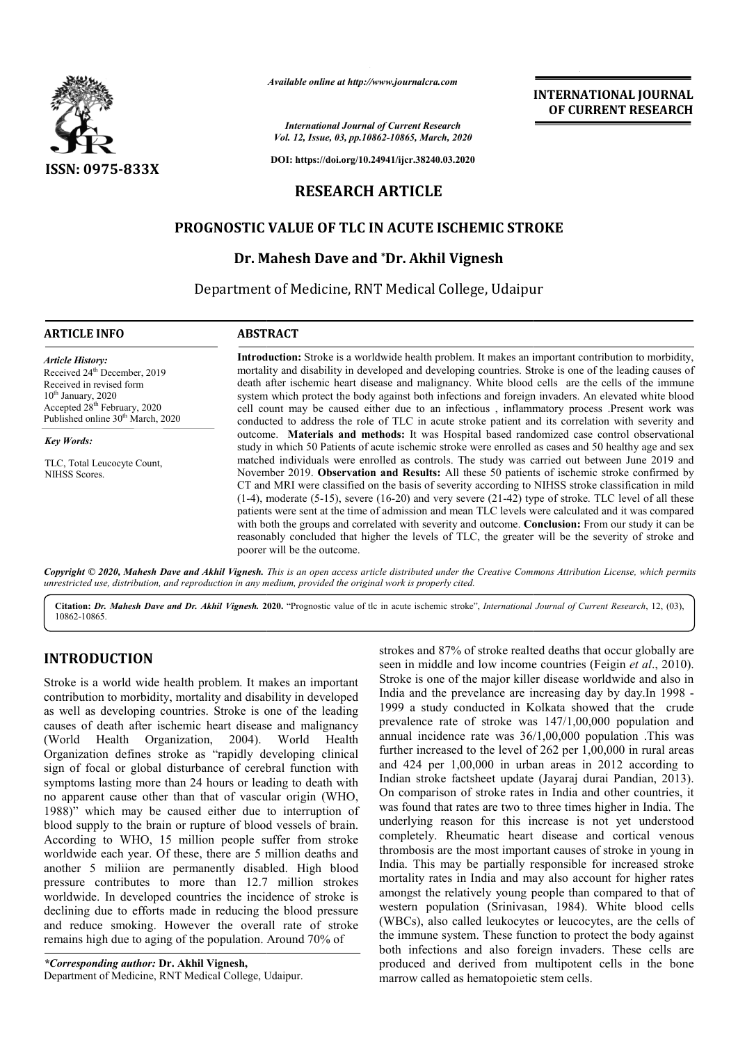

*Available online at http://www.journalcra.com*

*International Journal of Current Research Vol. 12, Issue, 03, pp.10862-10865, March, 2020*

**DOI: https://doi.org/10.24941/ijcr.38240.03.2020**

# **RESEARCH ARTICLE**

## **PROGNOSTIC VALUE OF TLC IN ACUTE ISCHEMIC STROKE STROKE**

## **Dr. Mahesh Dave and \*Dr. Akhil Vignesh**

Department of Medicine, RNT Medical College, Udaipur

#### **ARTICLE INFO ABSTRACT**

*Article History:* Received 24<sup>th</sup> December, 2019 Received in revised form  $10<sup>th</sup>$  January, 2020 Accepted  $28<sup>th</sup>$  February, 2020 Published online 30<sup>th</sup> March, 2020

*Key Words:*

TLC, Total Leucocyte Count, NIHSS Scores.

Introduction: Stroke is a worldwide health problem. It makes an important contribution to morbidity, mortality and disability in developed and developing countries. Stroke is one of the leading causes of death after ischemic heart disease and malignancy. White blood cells are the cells of the immune system which protect the body against both infections and foreign invaders. An elevated white blood cell count may be caused either due to an infectious , inflammatory process .Present work was conducted to address the role of TLC in acute stroke patient and its correlation with severity and outcome. outcome. **Materials and methods:** It was Hospital based randomized case control observational study in which 50 Patients of acute ischemic stroke were enrolled as cases and 50 healthy age and sex matched individuals were enrolled as controls. The study was carried out between June 2019 and November 2019. **Observation and Results:** All these 50 patients of ischemic stroke confirmed by CT and MRI were classified on the basis of severity according to NIHSS stroke classification in mild (1-4), moderate (5-15), severe (16-20) and very severe (21-42) type of stroke. TLC level of all these patients were sent at the time of admission and mean TLC levels were calculated and it was compared with both the groups and correlated with severity and outcome. **Conclusion:** From our study it can be reasonably concluded that higher the levels of TLC, the greater will be the severity of stroke and poorer will be the outcome.

**INTERNATIONAL JOURNAL OF CURRENT RESEARCH**

Copyright © 2020, Mahesh Dave and Akhil Vignesh. This is an open access article distributed under the Creative Commons Attribution License, which permits *unrestricted use, distribution, and reproduction in any medium, provided the original work is properly cited.*

Citation: Dr. Mahesh Dave and Dr. Akhil Vignesh. 2020. "Prognostic value of tle in acute ischemic stroke", International Journal of Current Research, 12, (03), 10862-10865.

## **INTRODUCTION**

Stroke is a world wide health problem. It makes an important contribution to morbidity, mortality and disability in developed as well as developing countries. Stroke is one of the leading causes of death after ischemic heart disease and malignancy (World Health Organization, 2004). Organization defines stroke as "rapidly developing clinical sign of focal or global disturbance of cerebral function with symptoms lasting more than 24 hours or leading to death with no apparent cause other than that of vascular origin (WHO, 1988)" which may be caused either due to interruption of blood supply to the brain or rupture of blood vessels of brain. According to WHO, 15 million people suffer from stroke worldwide each year. Of these, there are 5 million deaths and another 5 miliion are permanently disabled. High blood pressure contributes to more than 12.7 million strokes worldwide. In developed countries the incidence of stroke is declining due to efforts made in reducing the blood pressure and reduce smoking. However the overall rate of stroke remains high due to aging of the population. Around 70% of Health

*\*Corresponding author:* **Dr. Akhil Vignesh,** Department of Medicine, RNT Medical College, Udaipur. strokes and 87% of stroke realted deaths that occur globally are seen in middle and low income countries (Feigin *et al*., 2010). Stroke is one of the major killer disease worldwide and also in India and the prevelance are increasing day by day.In 1998 - 1999 a study conducted in Kolkata showed that the crude prevalence rate of stroke was 147/1,00,000 population and annual incidence rate was 36/1,00,000 population .This was further increased to the level of 262 per 1,00,000 in rural areas and 424 per 1,00,000 in urban areas in 2012 according to Indian stroke factsheet update (Jayaraj durai Pandian, 2013). On comparison of stroke rates in India and other countries, it was found that rates are two to three times higher in India. The underlying reason for this increase is not yet understood completely. Rheumatic heart disease and cortical venous thrombosis are the most important causes of stroke in young in India. This may be partially responsible for increased stroke mortality rates in India and may also account for higher rates amongst the relatively young people than compared to that of western population (Srinivasan, 1984). White blood cells (WBCs), also called leukocytes or leucocytes, are the cells of the immune system. These function to protect the body against both infections and also foreign invaders. These cells are produced and derived from multipotent cells in the bone marrow called as hematopoietic stem cells.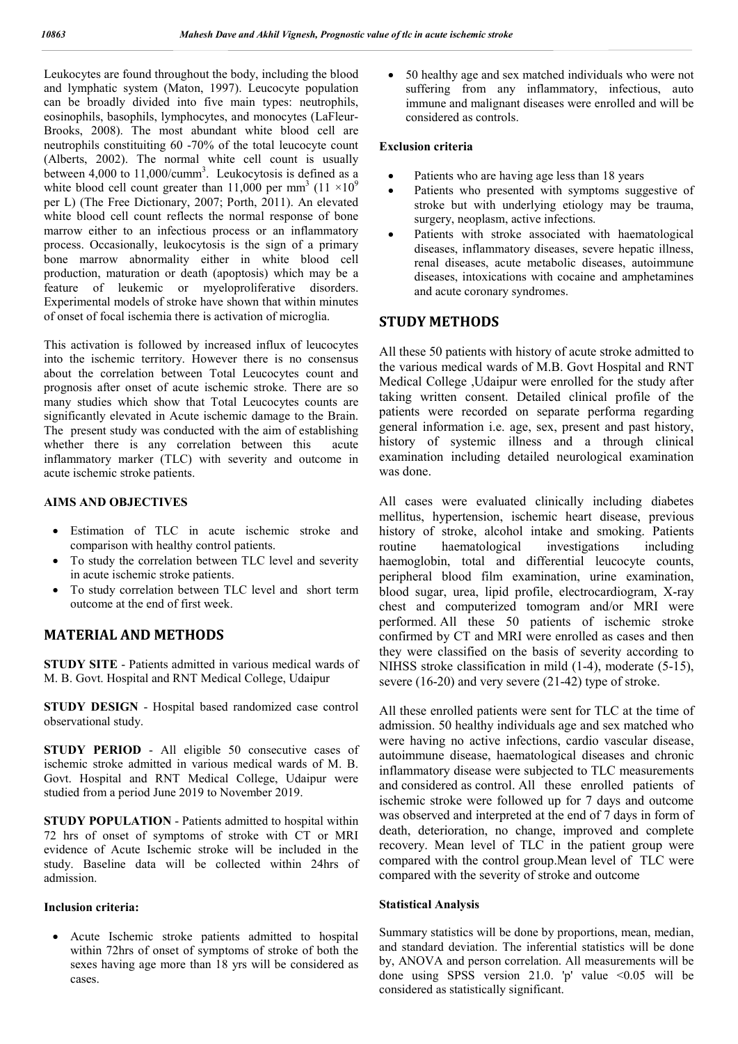Leukocytes are found throughout the body, including the blood and lymphatic system (Maton, 1997). Leucocyte population can be broadly divided into five main types: neutrophils, eosinophils, basophils, lymphocytes, and monocytes (LaFleur-Brooks, 2008). The most abundant white blood cell are neutrophils constituiting 60 -70% of the total leucocyte count (Alberts, 2002). The normal white cell count is usually between 4,000 to  $11,000/cumm^3$ . Leukocytosis is defined as a white blood cell count greater than 11,000 per mm<sup>3</sup> (11  $\times$ 10<sup>9</sup>) per L) (The Free Dictionary, 2007; Porth, 2011). An elevated white blood cell count reflects the normal response of bone marrow either to an infectious process or an inflammatory process. Occasionally, leukocytosis is the sign of a primary bone marrow abnormality either in white blood cell production, maturation or death (apoptosis) which may be a feature of leukemic or myeloproliferative disorders. Experimental models of stroke have shown that within minutes of onset of focal ischemia there is activation of microglia.

This activation is followed by increased influx of leucocytes into the ischemic territory. However there is no consensus about the correlation between Total Leucocytes count and prognosis after onset of acute ischemic stroke. There are so many studies which show that Total Leucocytes counts are significantly elevated in Acute ischemic damage to the Brain. The present study was conducted with the aim of establishing whether there is any correlation between this acute inflammatory marker (TLC) with severity and outcome in acute ischemic stroke patients.

## **AIMS AND OBJECTIVES**

- Estimation of TLC in acute ischemic stroke and comparison with healthy control patients.
- To study the correlation between TLC level and severity in acute ischemic stroke patients.
- To study correlation between TLC level and short term outcome at the end of first week.

# **MATERIAL AND METHODS**

**STUDY SITE** - Patients admitted in various medical wards of M. B. Govt. Hospital and RNT Medical College, Udaipur

**STUDY DESIGN** - Hospital based randomized case control observational study.

**STUDY PERIOD** - All eligible 50 consecutive cases of ischemic stroke admitted in various medical wards of M. B. Govt. Hospital and RNT Medical College, Udaipur were studied from a period June 2019 to November 2019.

**STUDY POPULATION** - Patients admitted to hospital within 72 hrs of onset of symptoms of stroke with CT or MRI evidence of Acute Ischemic stroke will be included in the study. Baseline data will be collected within 24hrs of admission.

#### **Inclusion criteria:**

 Acute Ischemic stroke patients admitted to hospital within 72hrs of onset of symptoms of stroke of both the sexes having age more than 18 yrs will be considered as cases.

 50 healthy age and sex matched individuals who were not suffering from any inflammatory, infectious, auto immune and malignant diseases were enrolled and will be considered as controls.

### **Exclusion criteria**

- Patients who are having age less than 18 years
- Patients who presented with symptoms suggestive of stroke but with underlying etiology may be trauma, surgery, neoplasm, active infections.
- Patients with stroke associated with haematological diseases, inflammatory diseases, severe hepatic illness, renal diseases, acute metabolic diseases, autoimmune diseases, intoxications with cocaine and amphetamines and acute coronary syndromes.

# **STUDY METHODS**

All these 50 patients with history of acute stroke admitted to the various medical wards of M.B. Govt Hospital and RNT Medical College ,Udaipur were enrolled for the study after taking written consent. Detailed clinical profile of the patients were recorded on separate performa regarding general information i.e. age, sex, present and past history, history of systemic illness and a through clinical examination including detailed neurological examination was done.

All cases were evaluated clinically including diabetes mellitus, hypertension, ischemic heart disease, previous history of stroke, alcohol intake and smoking. Patients routine haematological investigations including haemoglobin, total and differential leucocyte counts, peripheral blood film examination, urine examination, blood sugar, urea, lipid profile, electrocardiogram, X-ray chest and computerized tomogram and/or MRI were performed. All these 50 patients of ischemic stroke confirmed by CT and MRI were enrolled as cases and then they were classified on the basis of severity according to NIHSS stroke classification in mild (1-4), moderate (5-15), severe (16-20) and very severe (21-42) type of stroke.

All these enrolled patients were sent for TLC at the time of admission. 50 healthy individuals age and sex matched who were having no active infections, cardio vascular disease, autoimmune disease, haematological diseases and chronic inflammatory disease were subjected to TLC measurements and considered as control. All these enrolled patients of ischemic stroke were followed up for 7 days and outcome was observed and interpreted at the end of 7 days in form of death, deterioration, no change, improved and complete recovery. Mean level of TLC in the patient group were compared with the control group.Mean level of TLC were compared with the severity of stroke and outcome

#### **Statistical Analysis**

Summary statistics will be done by proportions, mean, median, and standard deviation. The inferential statistics will be done by, ANOVA and person correlation. All measurements will be done using SPSS version 21.0. 'p' value <0.05 will be considered as statistically significant.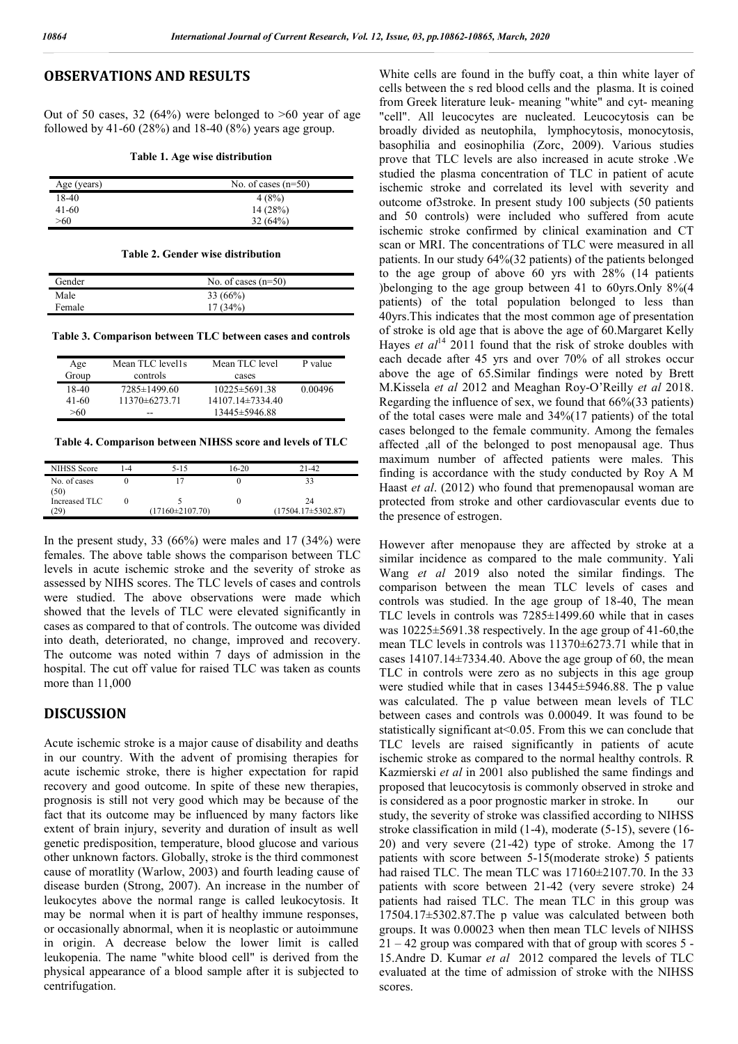## **OBSERVATIONS AND RESULTS**

Out of 50 cases, 32 (64%) were belonged to  $>60$  year of age followed by 41-60 (28%) and 18-40 (8%) years age group.

**Table 1. Age wise distribution**

| Age (years) | No. of cases $(n=50)$ |  |  |
|-------------|-----------------------|--|--|
| 18-40       | 4(8%)                 |  |  |
| 41-60       | 14(28%)               |  |  |
| >60         | 32(64%)               |  |  |

#### **Table 2. Gender wise distribution**

| Gender | No. of cases $(n=50)$ |
|--------|-----------------------|
| Male   | $33(66\%)$            |
| Female | 17(34%)               |

**Table 3. Comparison between TLC between cases and controls**

| Age   | Mean TLC level1s   | Mean TLC level      | P value |
|-------|--------------------|---------------------|---------|
| Group | controls           | cases               |         |
| 18-40 | $7285 \pm 1499.60$ | $10225 \pm 5691.38$ | 0.00496 |
| 41-60 | 11370±6273.71      | 14107.14±7334.40    |         |
| >60   | --                 | 13445±5946.88       |         |

**Table 4. Comparison between NIHSS score and levels of TLC**

| NIHSS Score          | $-4$ | $5 - 15$              | 16-20 | $21-42$                  |
|----------------------|------|-----------------------|-------|--------------------------|
| No. of cases<br>(50) |      |                       |       |                          |
| Increased TLC        |      |                       |       | 24                       |
| $29^{\circ}$         |      | $(17160 \pm 2107.70)$ |       | $(17504.17 \pm 5302.87)$ |

In the present study, 33 (66%) were males and 17 (34%) were females. The above table shows the comparison between TLC levels in acute ischemic stroke and the severity of stroke as assessed by NIHS scores. The TLC levels of cases and controls were studied. The above observations were made which showed that the levels of TLC were elevated significantly in cases as compared to that of controls. The outcome was divided into death, deteriorated, no change, improved and recovery. The outcome was noted within 7 days of admission in the hospital. The cut off value for raised TLC was taken as counts more than 11,000

## **DISCUSSION**

Acute ischemic stroke is a major cause of disability and deaths in our country. With the advent of promising therapies for acute ischemic stroke, there is higher expectation for rapid recovery and good outcome. In spite of these new therapies, prognosis is still not very good which may be because of the fact that its outcome may be influenced by many factors like extent of brain injury, severity and duration of insult as well genetic predisposition, temperature, blood glucose and various other unknown factors. Globally, stroke is the third commonest cause of moratlity (Warlow, 2003) and fourth leading cause of disease burden (Strong, 2007). An increase in the number of leukocytes above the normal range is called leukocytosis. It may be normal when it is part of healthy immune responses, or occasionally abnormal, when it is neoplastic or autoimmune in origin. A decrease below the lower limit is called leukopenia. The name "white blood cell" is derived from the physical appearance of a blood sample after it is subjected to centrifugation.

White cells are found in the buffy coat, a thin white layer of cells between the s red blood cells and the plasma. It is coined from Greek literature leuk- meaning "white" and cyt- meaning "cell". All leucocytes are nucleated. Leucocytosis can be broadly divided as neutophila, lymphocytosis, monocytosis, basophilia and eosinophilia (Zorc, 2009). Various studies prove that TLC levels are also increased in acute stroke .We studied the plasma concentration of TLC in patient of acute ischemic stroke and correlated its level with severity and outcome of3stroke. In present study 100 subjects (50 patients and 50 controls) were included who suffered from acute ischemic stroke confirmed by clinical examination and CT scan or MRI. The concentrations of TLC were measured in all patients. In our study 64%(32 patients) of the patients belonged to the age group of above 60 yrs with 28% (14 patients )belonging to the age group between 41 to 60yrs.Only 8%(4 patients) of the total population belonged to less than 40yrs.This indicates that the most common age of presentation of stroke is old age that is above the age of 60.Margaret Kelly Hayes *et al*<sup>14</sup> 2011 found that the risk of stroke doubles with each decade after 45 yrs and over 70% of all strokes occur above the age of 65.Similar findings were noted by Brett M.Kissela *et al* 2012 and Meaghan Roy-O'Reilly *et al* 2018. Regarding the influence of sex, we found that 66%(33 patients) of the total cases were male and 34%(17 patients) of the total cases belonged to the female community. Among the females affected ,all of the belonged to post menopausal age. Thus maximum number of affected patients were males. This finding is accordance with the study conducted by Roy A M Haast *et al*. (2012) who found that premenopausal woman are protected from stroke and other cardiovascular events due to the presence of estrogen.

However after menopause they are affected by stroke at a similar incidence as compared to the male community. Yali Wang *et al* 2019 also noted the similar findings. The comparison between the mean TLC levels of cases and controls was studied. In the age group of 18-40, The mean TLC levels in controls was 7285±1499.60 while that in cases was 10225±5691.38 respectively. In the age group of 41-60,the mean TLC levels in controls was 11370±6273.71 while that in cases 14107.14±7334.40. Above the age group of 60, the mean TLC in controls were zero as no subjects in this age group were studied while that in cases 13445±5946.88. The p value was calculated. The p value between mean levels of TLC between cases and controls was 0.00049. It was found to be statistically significant at<0.05. From this we can conclude that TLC levels are raised significantly in patients of acute ischemic stroke as compared to the normal healthy controls. R Kazmierski *et al* in 2001 also published the same findings and proposed that leucocytosis is commonly observed in stroke and is considered as a poor prognostic marker in stroke. In our study, the severity of stroke was classified according to NIHSS stroke classification in mild (1-4), moderate (5-15), severe (16- 20) and very severe (21-42) type of stroke. Among the 17 patients with score between 5-15(moderate stroke) 5 patients had raised TLC. The mean TLC was 17160±2107.70. In the 33 patients with score between 21-42 (very severe stroke) 24 patients had raised TLC. The mean TLC in this group was 17504.17±5302.87.The p value was calculated between both groups. It was 0.00023 when then mean TLC levels of NIHSS  $21 - 42$  group was compared with that of group with scores 5 -15.Andre D. Kumar *et al* 2012 compared the levels of TLC evaluated at the time of admission of stroke with the NIHSS scores.